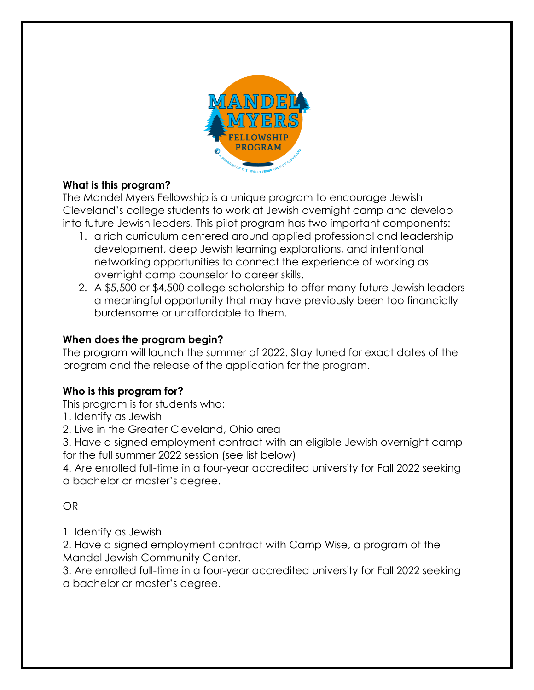

# **What is this program?**

The Mandel Myers Fellowship is a unique program to encourage Jewish Cleveland's college students to work at Jewish overnight camp and develop into future Jewish leaders. This pilot program has two important components:

- 1. a rich curriculum centered around applied professional and leadership development, deep Jewish learning explorations, and intentional networking opportunities to connect the experience of working as overnight camp counselor to career skills.
- 2. A \$5,500 or \$4,500 college scholarship to offer many future Jewish leaders a meaningful opportunity that may have previously been too financially burdensome or unaffordable to them.

## **When does the program begin?**

The program will launch the summer of 2022. Stay tuned for exact dates of the program and the release of the application for the program.

# **Who is this program for?**

This program is for students who:

1. Identify as Jewish

2. Live in the Greater Cleveland, Ohio area

3. Have a signed employment contract with an eligible Jewish overnight camp for the full summer 2022 session (see list below)

4. Are enrolled full-time in a four-year accredited university for Fall 2022 seeking a bachelor or master's degree.

## OR

1. Identify as Jewish

2. Have a signed employment contract with Camp Wise, a program of the Mandel Jewish Community Center.

3. Are enrolled full-time in a four-year accredited university for Fall 2022 seeking a bachelor or master's degree.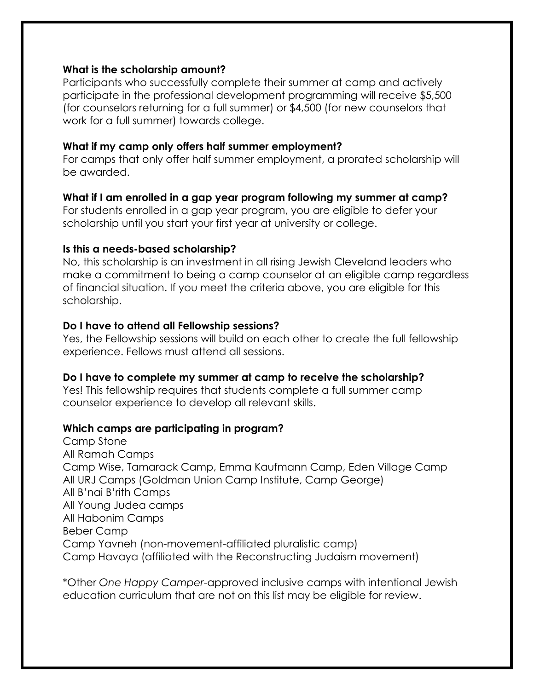#### **What is the scholarship amount?**

Participants who successfully complete their summer at camp and actively participate in the professional development programming will receive \$5,500 (for counselors returning for a full summer) or \$4,500 (for new counselors that work for a full summer) towards college.

#### **What if my camp only offers half summer employment?**

For camps that only offer half summer employment, a prorated scholarship will be awarded.

#### **What if I am enrolled in a gap year program following my summer at camp?**

For students enrolled in a gap year program, you are eligible to defer your scholarship until you start your first year at university or college.

#### **Is this a needs-based scholarship?**

No, this scholarship is an investment in all rising Jewish Cleveland leaders who make a commitment to being a camp counselor at an eligible camp regardless of financial situation. If you meet the criteria above, you are eligible for this scholarship.

#### **Do I have to attend all Fellowship sessions?**

Yes, the Fellowship sessions will build on each other to create the full fellowship experience. Fellows must attend all sessions.

#### **Do I have to complete my summer at camp to receive the scholarship?**

Yes! This fellowship requires that students complete a full summer camp counselor experience to develop all relevant skills.

#### **Which camps are participating in program?**

Camp Stone All Ramah Camps Camp Wise, Tamarack Camp, Emma Kaufmann Camp, Eden Village Camp All URJ Camps (Goldman Union Camp Institute, Camp George) All B'nai B'rith Camps All Young Judea camps All Habonim Camps Beber Camp Camp Yavneh (non-movement-affiliated pluralistic camp) Camp Havaya (affiliated with the Reconstructing Judaism movement)

\*Other *One Happy Camper*-approved inclusive camps with intentional Jewish education curriculum that are not on this list may be eligible for review.